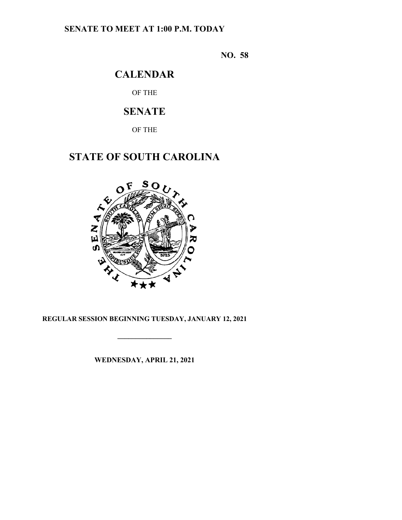# **SENATE TO MEET AT 1:00 P.M. TODAY**

**NO. 58**

# **CALENDAR**

OF THE

# **SENATE**

OF THE

# **STATE OF SOUTH CAROLINA**



## **REGULAR SESSION BEGINNING TUESDAY, JANUARY 12, 2021**

**\_\_\_\_\_\_\_\_\_\_\_\_\_\_\_**

**WEDNESDAY, APRIL 21, 2021**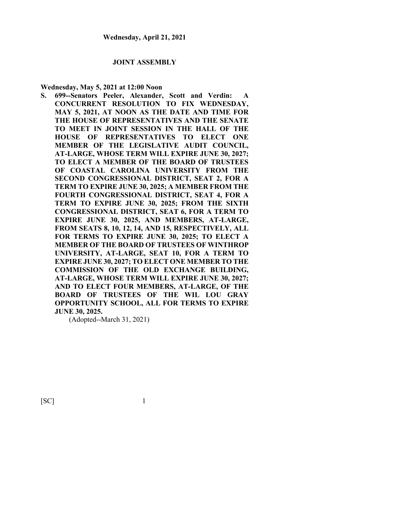#### **JOINT ASSEMBLY**

#### **Wednesday, May 5, 2021 at 12:00 Noon**

**S. 699--Senators Peeler, Alexander, Scott and Verdin: A CONCURRENT RESOLUTION TO FIX WEDNESDAY, MAY 5, 2021, AT NOON AS THE DATE AND TIME FOR THE HOUSE OF REPRESENTATIVES AND THE SENATE TO MEET IN JOINT SESSION IN THE HALL OF THE HOUSE OF REPRESENTATIVES TO ELECT ONE MEMBER OF THE LEGISLATIVE AUDIT COUNCIL, AT-LARGE, WHOSE TERM WILL EXPIRE JUNE 30, 2027; TO ELECT A MEMBER OF THE BOARD OF TRUSTEES OF COASTAL CAROLINA UNIVERSITY FROM THE SECOND CONGRESSIONAL DISTRICT, SEAT 2, FOR A TERM TO EXPIRE JUNE 30, 2025; A MEMBER FROM THE FOURTH CONGRESSIONAL DISTRICT, SEAT 4, FOR A TERM TO EXPIRE JUNE 30, 2025; FROM THE SIXTH CONGRESSIONAL DISTRICT, SEAT 6, FOR A TERM TO EXPIRE JUNE 30, 2025, AND MEMBERS, AT-LARGE, FROM SEATS 8, 10, 12, 14, AND 15, RESPECTIVELY, ALL FOR TERMS TO EXPIRE JUNE 30, 2025; TO ELECT A MEMBER OF THE BOARD OF TRUSTEES OF WINTHROP UNIVERSITY, AT-LARGE, SEAT 10, FOR A TERM TO EXPIRE JUNE 30, 2027; TO ELECT ONE MEMBER TO THE COMMISSION OF THE OLD EXCHANGE BUILDING, AT-LARGE, WHOSE TERM WILL EXPIRE JUNE 30, 2027; AND TO ELECT FOUR MEMBERS, AT-LARGE, OF THE BOARD OF TRUSTEES OF THE WIL LOU GRAY OPPORTUNITY SCHOOL, ALL FOR TERMS TO EXPIRE JUNE 30, 2025.**

(Adopted--March 31, 2021)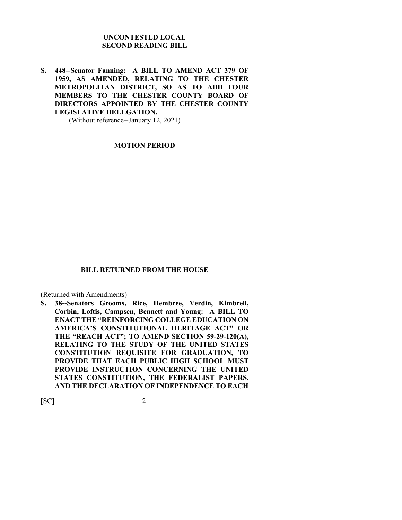### **UNCONTESTED LOCAL SECOND READING BILL**

**S. 448--Senator Fanning: A BILL TO AMEND ACT 379 OF 1959, AS AMENDED, RELATING TO THE CHESTER METROPOLITAN DISTRICT, SO AS TO ADD FOUR MEMBERS TO THE CHESTER COUNTY BOARD OF DIRECTORS APPOINTED BY THE CHESTER COUNTY LEGISLATIVE DELEGATION.**

(Without reference--January 12, 2021)

#### **MOTION PERIOD**

#### **BILL RETURNED FROM THE HOUSE**

(Returned with Amendments)

**S. 38--Senators Grooms, Rice, Hembree, Verdin, Kimbrell, Corbin, Loftis, Campsen, Bennett and Young: A BILL TO ENACT THE "REINFORCING COLLEGE EDUCATION ON AMERICA'S CONSTITUTIONAL HERITAGE ACT" OR THE "REACH ACT"; TO AMEND SECTION 59-29-120(A), RELATING TO THE STUDY OF THE UNITED STATES CONSTITUTION REQUISITE FOR GRADUATION, TO PROVIDE THAT EACH PUBLIC HIGH SCHOOL MUST PROVIDE INSTRUCTION CONCERNING THE UNITED STATES CONSTITUTION, THE FEDERALIST PAPERS, AND THE DECLARATION OF INDEPENDENCE TO EACH**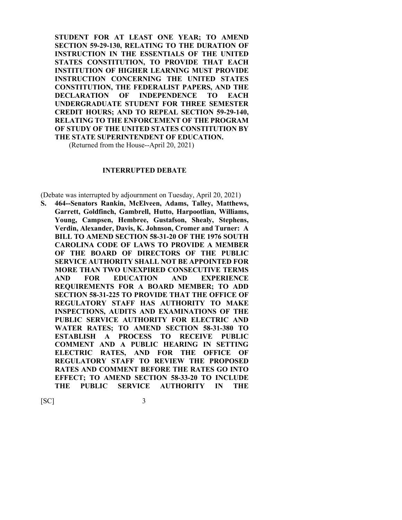**STUDENT FOR AT LEAST ONE YEAR; TO AMEND SECTION 59-29-130, RELATING TO THE DURATION OF INSTRUCTION IN THE ESSENTIALS OF THE UNITED STATES CONSTITUTION, TO PROVIDE THAT EACH INSTITUTION OF HIGHER LEARNING MUST PROVIDE INSTRUCTION CONCERNING THE UNITED STATES CONSTITUTION, THE FEDERALIST PAPERS, AND THE DECLARATION OF INDEPENDENCE TO EACH UNDERGRADUATE STUDENT FOR THREE SEMESTER CREDIT HOURS; AND TO REPEAL SECTION 59-29-140, RELATING TO THE ENFORCEMENT OF THE PROGRAM OF STUDY OF THE UNITED STATES CONSTITUTION BY THE STATE SUPERINTENDENT OF EDUCATION.**

(Returned from the House--April 20, 2021)

### **INTERRUPTED DEBATE**

(Debate was interrupted by adjournment on Tuesday, April 20, 2021)

**S. 464--Senators Rankin, McElveen, Adams, Talley, Matthews, Garrett, Goldfinch, Gambrell, Hutto, Harpootlian, Williams, Young, Campsen, Hembree, Gustafson, Shealy, Stephens, Verdin, Alexander, Davis, K. Johnson, Cromer and Turner: A BILL TO AMEND SECTION 58-31-20 OF THE 1976 SOUTH CAROLINA CODE OF LAWS TO PROVIDE A MEMBER OF THE BOARD OF DIRECTORS OF THE PUBLIC SERVICE AUTHORITY SHALL NOT BE APPOINTED FOR MORE THAN TWO UNEXPIRED CONSECUTIVE TERMS AND FOR EDUCATION AND EXPERIENCE REQUIREMENTS FOR A BOARD MEMBER; TO ADD SECTION 58-31-225 TO PROVIDE THAT THE OFFICE OF REGULATORY STAFF HAS AUTHORITY TO MAKE INSPECTIONS, AUDITS AND EXAMINATIONS OF THE PUBLIC SERVICE AUTHORITY FOR ELECTRIC AND WATER RATES; TO AMEND SECTION 58-31-380 TO ESTABLISH A PROCESS TO RECEIVE PUBLIC COMMENT AND A PUBLIC HEARING IN SETTING ELECTRIC RATES, AND FOR THE OFFICE OF REGULATORY STAFF TO REVIEW THE PROPOSED RATES AND COMMENT BEFORE THE RATES GO INTO EFFECT; TO AMEND SECTION 58-33-20 TO INCLUDE THE PUBLIC SERVICE AUTHORITY IN THE**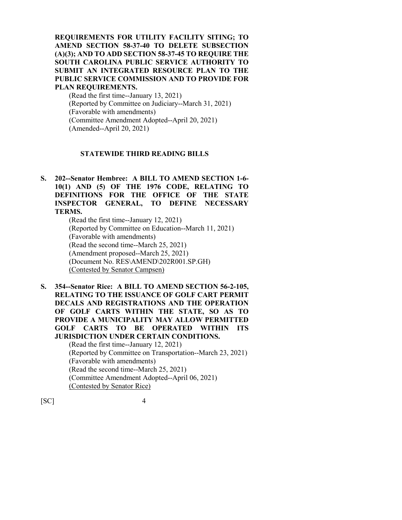**REQUIREMENTS FOR UTILITY FACILITY SITING; TO AMEND SECTION 58-37-40 TO DELETE SUBSECTION (A)(3); AND TO ADD SECTION 58-37-45 TO REQUIRE THE SOUTH CAROLINA PUBLIC SERVICE AUTHORITY TO SUBMIT AN INTEGRATED RESOURCE PLAN TO THE PUBLIC SERVICE COMMISSION AND TO PROVIDE FOR PLAN REQUIREMENTS.**

(Read the first time--January 13, 2021) (Reported by Committee on Judiciary--March 31, 2021) (Favorable with amendments) (Committee Amendment Adopted--April 20, 2021) (Amended--April 20, 2021)

#### **STATEWIDE THIRD READING BILLS**

**S. 202--Senator Hembree: A BILL TO AMEND SECTION 1-6- 10(1) AND (5) OF THE 1976 CODE, RELATING TO DEFINITIONS FOR THE OFFICE OF THE STATE INSPECTOR GENERAL, TO DEFINE NECESSARY TERMS.**

(Read the first time--January 12, 2021) (Reported by Committee on Education--March 11, 2021) (Favorable with amendments) (Read the second time--March 25, 2021) (Amendment proposed--March 25, 2021) (Document No. RES\AMEND\202R001.SP.GH) (Contested by Senator Campsen)

**S. 354--Senator Rice: A BILL TO AMEND SECTION 56-2-105, RELATING TO THE ISSUANCE OF GOLF CART PERMIT DECALS AND REGISTRATIONS AND THE OPERATION OF GOLF CARTS WITHIN THE STATE, SO AS TO PROVIDE A MUNICIPALITY MAY ALLOW PERMITTED GOLF CARTS TO BE OPERATED WITHIN ITS JURISDICTION UNDER CERTAIN CONDITIONS.** (Read the first time--January 12, 2021) (Reported by Committee on Transportation--March 23, 2021) (Favorable with amendments)

(Read the second time--March 25, 2021) (Committee Amendment Adopted--April 06, 2021) (Contested by Senator Rice)

 $[SC]$ 

| н |
|---|
| н |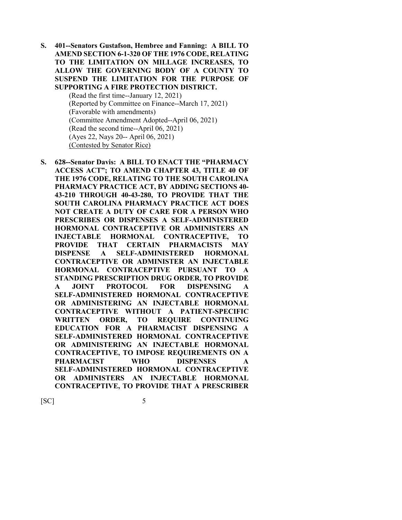**S. 401--Senators Gustafson, Hembree and Fanning: A BILL TO AMEND SECTION 6-1-320 OF THE 1976 CODE, RELATING TO THE LIMITATION ON MILLAGE INCREASES, TO ALLOW THE GOVERNING BODY OF A COUNTY TO SUSPEND THE LIMITATION FOR THE PURPOSE OF SUPPORTING A FIRE PROTECTION DISTRICT.**

> (Read the first time--January 12, 2021) (Reported by Committee on Finance--March 17, 2021) (Favorable with amendments) (Committee Amendment Adopted--April 06, 2021) (Read the second time--April 06, 2021) (Ayes 22, Nays 20-- April 06, 2021) (Contested by Senator Rice)

**S. 628--Senator Davis: A BILL TO ENACT THE "PHARMACY ACCESS ACT"; TO AMEND CHAPTER 43, TITLE 40 OF THE 1976 CODE, RELATING TO THE SOUTH CAROLINA PHARMACY PRACTICE ACT, BY ADDING SECTIONS 40- 43-210 THROUGH 40-43-280, TO PROVIDE THAT THE SOUTH CAROLINA PHARMACY PRACTICE ACT DOES NOT CREATE A DUTY OF CARE FOR A PERSON WHO PRESCRIBES OR DISPENSES A SELF-ADMINISTERED HORMONAL CONTRACEPTIVE OR ADMINISTERS AN INJECTABLE HORMONAL CONTRACEPTIVE, TO PROVIDE THAT CERTAIN PHARMACISTS MAY DISPENSE A SELF-ADMINISTERED HORMONAL CONTRACEPTIVE OR ADMINISTER AN INJECTABLE HORMONAL CONTRACEPTIVE PURSUANT TO A STANDING PRESCRIPTION DRUG ORDER, TO PROVIDE A JOINT PROTOCOL FOR DISPENSING A SELF-ADMINISTERED HORMONAL CONTRACEPTIVE OR ADMINISTERING AN INJECTABLE HORMONAL CONTRACEPTIVE WITHOUT A PATIENT-SPECIFIC WRITTEN ORDER, TO REQUIRE CONTINUING EDUCATION FOR A PHARMACIST DISPENSING A SELF-ADMINISTERED HORMONAL CONTRACEPTIVE OR ADMINISTERING AN INJECTABLE HORMONAL CONTRACEPTIVE, TO IMPOSE REQUIREMENTS ON A PHARMACIST WHO DISPENSES A SELF-ADMINISTERED HORMONAL CONTRACEPTIVE OR ADMINISTERS AN INJECTABLE HORMONAL CONTRACEPTIVE, TO PROVIDE THAT A PRESCRIBER**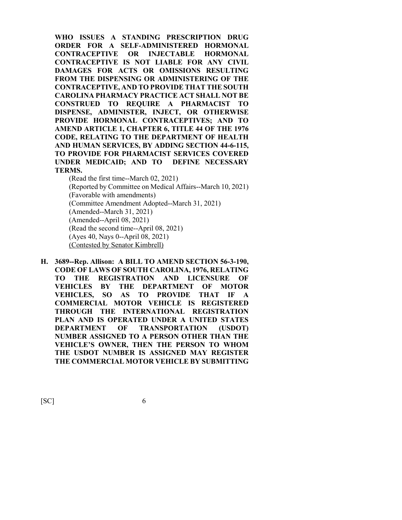**WHO ISSUES A STANDING PRESCRIPTION DRUG ORDER FOR A SELF-ADMINISTERED HORMONAL CONTRACEPTIVE OR INJECTABLE HORMONAL CONTRACEPTIVE IS NOT LIABLE FOR ANY CIVIL DAMAGES FOR ACTS OR OMISSIONS RESULTING FROM THE DISPENSING OR ADMINISTERING OF THE CONTRACEPTIVE, AND TO PROVIDE THAT THE SOUTH CAROLINA PHARMACY PRACTICE ACT SHALL NOT BE CONSTRUED TO REQUIRE A PHARMACIST TO DISPENSE, ADMINISTER, INJECT, OR OTHERWISE PROVIDE HORMONAL CONTRACEPTIVES; AND TO AMEND ARTICLE 1, CHAPTER 6, TITLE 44 OF THE 1976 CODE, RELATING TO THE DEPARTMENT OF HEALTH AND HUMAN SERVICES, BY ADDING SECTION 44-6-115, TO PROVIDE FOR PHARMACIST SERVICES COVERED UNDER MEDICAID; AND TO DEFINE NECESSARY TERMS.**

(Read the first time--March 02, 2021) (Reported by Committee on Medical Affairs--March 10, 2021) (Favorable with amendments) (Committee Amendment Adopted--March 31, 2021) (Amended--March 31, 2021) (Amended--April 08, 2021) (Read the second time--April 08, 2021) (Ayes 40, Nays 0--April 08, 2021) (Contested by Senator Kimbrell)

**H. 3689--Rep. Allison: A BILL TO AMEND SECTION 56-3-190, CODE OF LAWS OF SOUTH CAROLINA, 1976, RELATING TO THE REGISTRATION AND LICENSURE OF VEHICLES BY THE DEPARTMENT OF MOTOR VEHICLES, SO AS TO PROVIDE THAT IF A COMMERCIAL MOTOR VEHICLE IS REGISTERED THROUGH THE INTERNATIONAL REGISTRATION PLAN AND IS OPERATED UNDER A UNITED STATES DEPARTMENT OF TRANSPORTATION (USDOT) NUMBER ASSIGNED TO A PERSON OTHER THAN THE VEHICLE'S OWNER, THEN THE PERSON TO WHOM THE USDOT NUMBER IS ASSIGNED MAY REGISTER THE COMMERCIAL MOTOR VEHICLE BY SUBMITTING**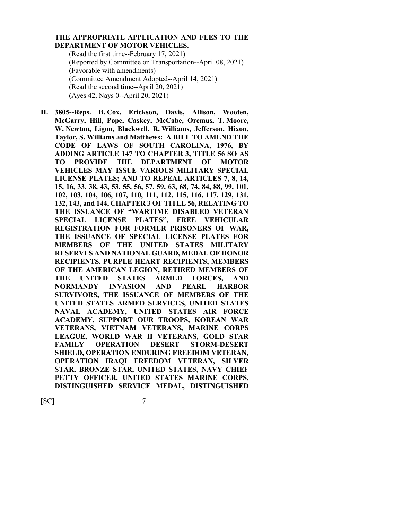#### **THE APPROPRIATE APPLICATION AND FEES TO THE DEPARTMENT OF MOTOR VEHICLES.**

(Read the first time--February 17, 2021) (Reported by Committee on Transportation--April 08, 2021) (Favorable with amendments) (Committee Amendment Adopted--April 14, 2021) (Read the second time--April 20, 2021) (Ayes 42, Nays 0--April 20, 2021)

**H. 3805--Reps. B. Cox, Erickson, Davis, Allison, Wooten, McGarry, Hill, Pope, Caskey, McCabe, Oremus, T. Moore, W. Newton, Ligon, Blackwell, R. Williams, Jefferson, Hixon, Taylor, S. Williams and Matthews: A BILL TO AMEND THE CODE OF LAWS OF SOUTH CAROLINA, 1976, BY ADDING ARTICLE 147 TO CHAPTER 3, TITLE 56 SO AS TO PROVIDE THE DEPARTMENT OF MOTOR VEHICLES MAY ISSUE VARIOUS MILITARY SPECIAL LICENSE PLATES; AND TO REPEAL ARTICLES 7, 8, 14, 15, 16, 33, 38, 43, 53, 55, 56, 57, 59, 63, 68, 74, 84, 88, 99, 101, 102, 103, 104, 106, 107, 110, 111, 112, 115, 116, 117, 129, 131, 132, 143, and 144, CHAPTER 3 OF TITLE 56, RELATING TO THE ISSUANCE OF "WARTIME DISABLED VETERAN SPECIAL LICENSE PLATES", FREE VEHICULAR REGISTRATION FOR FORMER PRISONERS OF WAR, THE ISSUANCE OF SPECIAL LICENSE PLATES FOR MEMBERS OF THE UNITED STATES MILITARY RESERVES AND NATIONAL GUARD, MEDAL OF HONOR RECIPIENTS, PURPLE HEART RECIPIENTS, MEMBERS OF THE AMERICAN LEGION, RETIRED MEMBERS OF THE UNITED STATES ARMED FORCES, AND NORMANDY INVASION AND PEARL HARBOR SURVIVORS, THE ISSUANCE OF MEMBERS OF THE UNITED STATES ARMED SERVICES, UNITED STATES NAVAL ACADEMY, UNITED STATES AIR FORCE ACADEMY, SUPPORT OUR TROOPS, KOREAN WAR VETERANS, VIETNAM VETERANS, MARINE CORPS LEAGUE, WORLD WAR II VETERANS, GOLD STAR FAMILY OPERATION DESERT STORM-DESERT SHIELD, OPERATION ENDURING FREEDOM VETERAN, OPERATION IRAQI FREEDOM VETERAN, SILVER STAR, BRONZE STAR, UNITED STATES, NAVY CHIEF PETTY OFFICER, UNITED STATES MARINE CORPS, DISTINGUISHED SERVICE MEDAL, DISTINGUISHED**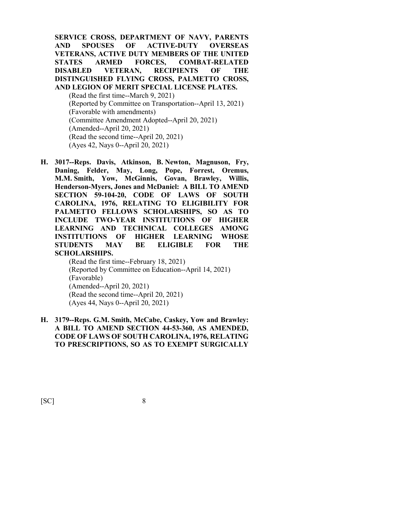**SERVICE CROSS, DEPARTMENT OF NAVY, PARENTS AND SPOUSES OF ACTIVE-DUTY OVERSEAS VETERANS, ACTIVE DUTY MEMBERS OF THE UNITED STATES ARMED FORCES, COMBAT-RELATED DISABLED VETERAN, RECIPIENTS OF THE DISTINGUISHED FLYING CROSS, PALMETTO CROSS, AND LEGION OF MERIT SPECIAL LICENSE PLATES.**

(Read the first time--March 9, 2021) (Reported by Committee on Transportation--April 13, 2021) (Favorable with amendments) (Committee Amendment Adopted--April 20, 2021) (Amended--April 20, 2021) (Read the second time--April 20, 2021) (Ayes 42, Nays 0--April 20, 2021)

**H. 3017--Reps. Davis, Atkinson, B. Newton, Magnuson, Fry, Daning, Felder, May, Long, Pope, Forrest, Oremus, M.M. Smith, Yow, McGinnis, Govan, Brawley, Willis, Henderson-Myers, Jones and McDaniel: A BILL TO AMEND SECTION 59-104-20, CODE OF LAWS OF SOUTH CAROLINA, 1976, RELATING TO ELIGIBILITY FOR PALMETTO FELLOWS SCHOLARSHIPS, SO AS TO INCLUDE TWO-YEAR INSTITUTIONS OF HIGHER LEARNING AND TECHNICAL COLLEGES AMONG INSTITUTIONS OF HIGHER LEARNING WHOSE STUDENTS MAY BE ELIGIBLE FOR THE SCHOLARSHIPS.**

(Read the first time--February 18, 2021) (Reported by Committee on Education--April 14, 2021) (Favorable) (Amended--April 20, 2021) (Read the second time--April 20, 2021) (Ayes 44, Nays 0--April 20, 2021)

**H. 3179--Reps. G.M. Smith, McCabe, Caskey, Yow and Brawley: A BILL TO AMEND SECTION 44-53-360, AS AMENDED, CODE OF LAWS OF SOUTH CAROLINA, 1976, RELATING TO PRESCRIPTIONS, SO AS TO EXEMPT SURGICALLY**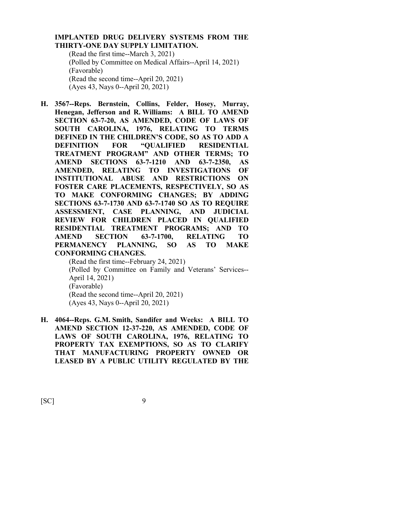#### **IMPLANTED DRUG DELIVERY SYSTEMS FROM THE THIRTY-ONE DAY SUPPLY LIMITATION.**

(Read the first time--March 3, 2021) (Polled by Committee on Medical Affairs--April 14, 2021) (Favorable) (Read the second time--April 20, 2021) (Ayes 43, Nays 0--April 20, 2021)

**H. 3567--Reps. Bernstein, Collins, Felder, Hosey, Murray, Henegan, Jefferson and R. Williams: A BILL TO AMEND SECTION 63-7-20, AS AMENDED, CODE OF LAWS OF SOUTH CAROLINA, 1976, RELATING TO TERMS DEFINED IN THE CHILDREN'S CODE, SO AS TO ADD A DEFINITION FOR "QUALIFIED RESIDENTIAL TREATMENT PROGRAM" AND OTHER TERMS; TO AMEND SECTIONS 63-7-1210 AND 63-7-2350, AS AMENDED, RELATING TO INVESTIGATIONS OF INSTITUTIONAL ABUSE AND RESTRICTIONS ON FOSTER CARE PLACEMENTS, RESPECTIVELY, SO AS TO MAKE CONFORMING CHANGES; BY ADDING SECTIONS 63-7-1730 AND 63-7-1740 SO AS TO REQUIRE ASSESSMENT, CASE PLANNING, AND JUDICIAL REVIEW FOR CHILDREN PLACED IN QUALIFIED RESIDENTIAL TREATMENT PROGRAMS; AND TO AMEND SECTION 63-7-1700, RELATING TO PERMANENCY PLANNING, SO AS TO MAKE CONFORMING CHANGES.**

(Read the first time--February 24, 2021) (Polled by Committee on Family and Veterans' Services-- April 14, 2021) (Favorable) (Read the second time--April 20, 2021) (Ayes 43, Nays 0--April 20, 2021)

**H. 4064--Reps. G.M. Smith, Sandifer and Weeks: A BILL TO AMEND SECTION 12-37-220, AS AMENDED, CODE OF LAWS OF SOUTH CAROLINA, 1976, RELATING TO PROPERTY TAX EXEMPTIONS, SO AS TO CLARIFY THAT MANUFACTURING PROPERTY OWNED OR LEASED BY A PUBLIC UTILITY REGULATED BY THE**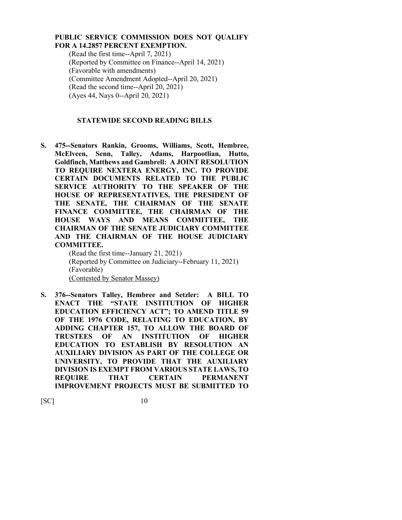#### **PUBLIC SERVICE COMMISSION DOES NOT QUALIFY FOR A 14.2857 PERCENT EXEMPTION.**

(Read the first time--April 7, 2021) (Reported by Committee on Finance--April 14, 2021) (Favorable with amendments) (Committee Amendment Adopted--April 20, 2021) (Read the second time--April 20, 2021) (Ayes 44, Nays 0--April 20, 2021)

### **STATEWIDE SECOND READING BILLS**

**S. 475--Senators Rankin, Grooms, Williams, Scott, Hembree, McElveen, Senn, Talley, Adams, Harpootlian, Hutto, Goldfinch, Matthews and Gambrell: A JOINT RESOLUTION TO REQUIRE NEXTERA ENERGY, INC. TO PROVIDE CERTAIN DOCUMENTS RELATED TO THE PUBLIC SERVICE AUTHORITY TO THE SPEAKER OF THE HOUSE OF REPRESENTATIVES, THE PRESIDENT OF THE SENATE, THE CHAIRMAN OF THE SENATE FINANCE COMMITTEE, THE CHAIRMAN OF THE HOUSE WAYS AND MEANS COMMITTEE, THE CHAIRMAN OF THE SENATE JUDICIARY COMMITTEE AND THE CHAIRMAN OF THE HOUSE JUDICIARY COMMITTEE.**

(Read the first time--January 21, 2021) (Reported by Committee on Judiciary--February 11, 2021) (Favorable) (Contested by Senator Massey)

**S. 376--Senators Talley, Hembree and Setzler: A BILL TO ENACT THE "STATE INSTITUTION OF HIGHER EDUCATION EFFICIENCY ACT"; TO AMEND TITLE 59 OF THE 1976 CODE, RELATING TO EDUCATION, BY ADDING CHAPTER 157, TO ALLOW THE BOARD OF TRUSTEES OF AN INSTITUTION OF HIGHER EDUCATION TO ESTABLISH BY RESOLUTION AN AUXILIARY DIVISION AS PART OF THE COLLEGE OR UNIVERSITY, TO PROVIDE THAT THE AUXILIARY DIVISION IS EXEMPT FROM VARIOUS STATE LAWS, TO REQUIRE THAT CERTAIN PERMANENT IMPROVEMENT PROJECTS MUST BE SUBMITTED TO**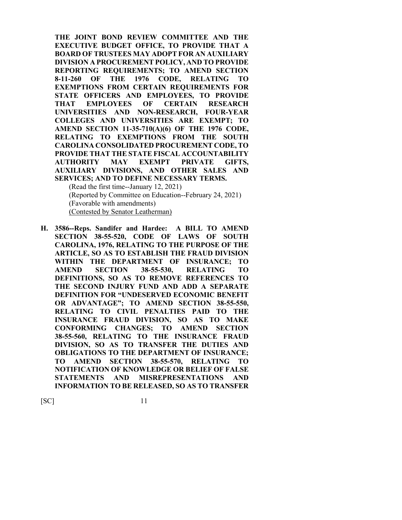**THE JOINT BOND REVIEW COMMITTEE AND THE EXECUTIVE BUDGET OFFICE, TO PROVIDE THAT A BOARD OF TRUSTEES MAY ADOPT FOR AN AUXILIARY DIVISION A PROCUREMENT POLICY, AND TO PROVIDE REPORTING REQUIREMENTS; TO AMEND SECTION 8-11-260 OF THE 1976 CODE, RELATING TO EXEMPTIONS FROM CERTAIN REQUIREMENTS FOR STATE OFFICERS AND EMPLOYEES, TO PROVIDE THAT EMPLOYEES OF CERTAIN RESEARCH UNIVERSITIES AND NON-RESEARCH, FOUR-YEAR COLLEGES AND UNIVERSITIES ARE EXEMPT; TO AMEND SECTION 11-35-710(A)(6) OF THE 1976 CODE, RELATING TO EXEMPTIONS FROM THE SOUTH CAROLINA CONSOLIDATED PROCUREMENT CODE, TO PROVIDE THAT THE STATE FISCAL ACCOUNTABILITY AUTHORITY MAY EXEMPT PRIVATE GIFTS, AUXILIARY DIVISIONS, AND OTHER SALES AND SERVICES; AND TO DEFINE NECESSARY TERMS.**

(Read the first time--January 12, 2021) (Reported by Committee on Education--February 24, 2021) (Favorable with amendments) (Contested by Senator Leatherman)

**H. 3586--Reps. Sandifer and Hardee: A BILL TO AMEND SECTION 38-55-520, CODE OF LAWS OF SOUTH CAROLINA, 1976, RELATING TO THE PURPOSE OF THE ARTICLE, SO AS TO ESTABLISH THE FRAUD DIVISION WITHIN THE DEPARTMENT OF INSURANCE; TO AMEND SECTION 38-55-530, RELATING TO DEFINITIONS, SO AS TO REMOVE REFERENCES TO THE SECOND INJURY FUND AND ADD A SEPARATE DEFINITION FOR "UNDESERVED ECONOMIC BENEFIT OR ADVANTAGE"; TO AMEND SECTION 38-55-550, RELATING TO CIVIL PENALTIES PAID TO THE INSURANCE FRAUD DIVISION, SO AS TO MAKE CONFORMING CHANGES; TO AMEND SECTION 38-55-560, RELATING TO THE INSURANCE FRAUD DIVISION, SO AS TO TRANSFER THE DUTIES AND OBLIGATIONS TO THE DEPARTMENT OF INSURANCE; TO AMEND SECTION 38-55-570, RELATING TO NOTIFICATION OF KNOWLEDGE OR BELIEF OF FALSE STATEMENTS AND MISREPRESENTATIONS AND INFORMATION TO BE RELEASED, SO AS TO TRANSFER**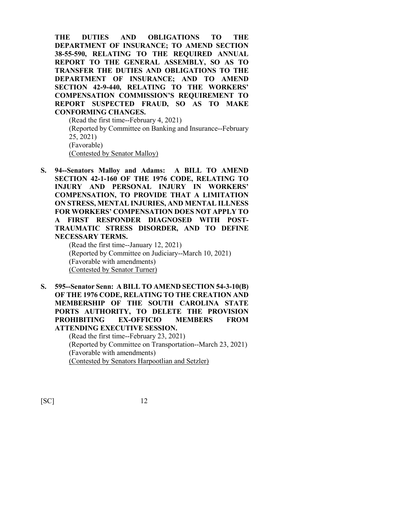**THE DUTIES AND OBLIGATIONS TO THE DEPARTMENT OF INSURANCE; TO AMEND SECTION 38-55-590, RELATING TO THE REQUIRED ANNUAL REPORT TO THE GENERAL ASSEMBLY, SO AS TO TRANSFER THE DUTIES AND OBLIGATIONS TO THE DEPARTMENT OF INSURANCE; AND TO AMEND SECTION 42-9-440, RELATING TO THE WORKERS' COMPENSATION COMMISSION'S REQUIREMENT TO REPORT SUSPECTED FRAUD, SO AS TO MAKE CONFORMING CHANGES.**

(Read the first time--February 4, 2021) (Reported by Committee on Banking and Insurance--February 25, 2021) (Favorable) (Contested by Senator Malloy)

**S. 94--Senators Malloy and Adams: A BILL TO AMEND SECTION 42-1-160 OF THE 1976 CODE, RELATING TO INJURY AND PERSONAL INJURY IN WORKERS' COMPENSATION, TO PROVIDE THAT A LIMITATION ON STRESS, MENTAL INJURIES, AND MENTAL ILLNESS FOR WORKERS' COMPENSATION DOES NOT APPLY TO A FIRST RESPONDER DIAGNOSED WITH POST-TRAUMATIC STRESS DISORDER, AND TO DEFINE NECESSARY TERMS.**

(Read the first time--January 12, 2021) (Reported by Committee on Judiciary--March 10, 2021) (Favorable with amendments) (Contested by Senator Turner)

**S. 595--Senator Senn: A BILL TO AMEND SECTION 54-3-10(B) OF THE 1976 CODE, RELATING TO THE CREATION AND MEMBERSHIP OF THE SOUTH CAROLINA STATE PORTS AUTHORITY, TO DELETE THE PROVISION PROHIBITING EX-OFFICIO MEMBERS FROM ATTENDING EXECUTIVE SESSION.**

(Read the first time--February 23, 2021) (Reported by Committee on Transportation--March 23, 2021) (Favorable with amendments) (Contested by Senators Harpootlian and Setzler)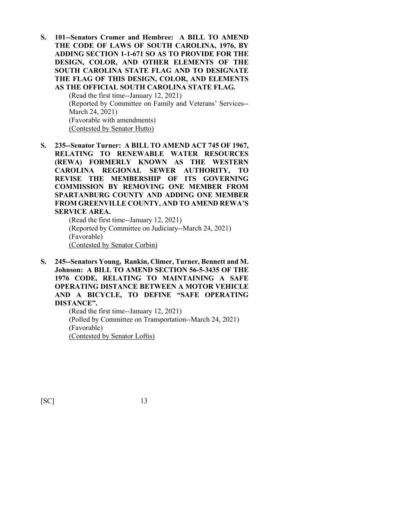**S. 101--Senators Cromer and Hembree: A BILL TO AMEND THE CODE OF LAWS OF SOUTH CAROLINA, 1976, BY ADDING SECTION 1-1-671 SO AS TO PROVIDE FOR THE DESIGN, COLOR, AND OTHER ELEMENTS OF THE SOUTH CAROLINA STATE FLAG AND TO DESIGNATE THE FLAG OF THIS DESIGN, COLOR, AND ELEMENTS AS THE OFFICIAL SOUTH CAROLINA STATE FLAG.**

> (Read the first time--January 12, 2021) (Reported by Committee on Family and Veterans' Services-- March 24, 2021) (Favorable with amendments) (Contested by Senator Hutto)

**S. 235--Senator Turner: A BILL TO AMEND ACT 745 OF 1967, RELATING TO RENEWABLE WATER RESOURCES (REWA) FORMERLY KNOWN AS THE WESTERN CAROLINA REGIONAL SEWER AUTHORITY, TO REVISE THE MEMBERSHIP OF ITS GOVERNING COMMISSION BY REMOVING ONE MEMBER FROM SPARTANBURG COUNTY AND ADDING ONE MEMBER FROM GREENVILLE COUNTY, AND TO AMEND REWA'S SERVICE AREA.**

(Read the first time--January 12, 2021) (Reported by Committee on Judiciary--March 24, 2021) (Favorable) (Contested by Senator Corbin)

**S. 245--Senators Young, Rankin, Climer, Turner, Bennett and M. Johnson: A BILL TO AMEND SECTION 56-5-3435 OF THE 1976 CODE, RELATING TO MAINTAINING A SAFE OPERATING DISTANCE BETWEEN A MOTOR VEHICLE AND A BICYCLE, TO DEFINE "SAFE OPERATING DISTANCE".**

(Read the first time--January 12, 2021) (Polled by Committee on Transportation--March 24, 2021) (Favorable) (Contested by Senator Loftis)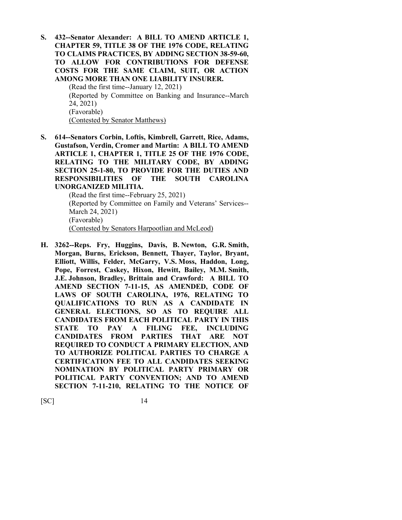**S. 432--Senator Alexander: A BILL TO AMEND ARTICLE 1, CHAPTER 59, TITLE 38 OF THE 1976 CODE, RELATING TO CLAIMS PRACTICES, BY ADDING SECTION 38-59-60, TO ALLOW FOR CONTRIBUTIONS FOR DEFENSE COSTS FOR THE SAME CLAIM, SUIT, OR ACTION AMONG MORE THAN ONE LIABILITY INSURER.**

(Read the first time--January 12, 2021) (Reported by Committee on Banking and Insurance--March 24, 2021) (Favorable) (Contested by Senator Matthews)

**S. 614--Senators Corbin, Loftis, Kimbrell, Garrett, Rice, Adams, Gustafson, Verdin, Cromer and Martin: A BILL TO AMEND ARTICLE 1, CHAPTER 1, TITLE 25 OF THE 1976 CODE, RELATING TO THE MILITARY CODE, BY ADDING SECTION 25-1-80, TO PROVIDE FOR THE DUTIES AND RESPONSIBILITIES OF THE SOUTH CAROLINA UNORGANIZED MILITIA.**

(Read the first time--February 25, 2021) (Reported by Committee on Family and Veterans' Services-- March 24, 2021) (Favorable) (Contested by Senators Harpootlian and McLeod)

**H. 3262--Reps. Fry, Huggins, Davis, B. Newton, G.R. Smith, Morgan, Burns, Erickson, Bennett, Thayer, Taylor, Bryant, Elliott, Willis, Felder, McGarry, V.S. Moss, Haddon, Long, Pope, Forrest, Caskey, Hixon, Hewitt, Bailey, M.M. Smith, J.E. Johnson, Bradley, Brittain and Crawford: A BILL TO AMEND SECTION 7-11-15, AS AMENDED, CODE OF LAWS OF SOUTH CAROLINA, 1976, RELATING TO QUALIFICATIONS TO RUN AS A CANDIDATE IN GENERAL ELECTIONS, SO AS TO REQUIRE ALL CANDIDATES FROM EACH POLITICAL PARTY IN THIS STATE TO PAY A FILING FEE, INCLUDING CANDIDATES FROM PARTIES THAT ARE NOT REQUIRED TO CONDUCT A PRIMARY ELECTION, AND TO AUTHORIZE POLITICAL PARTIES TO CHARGE A CERTIFICATION FEE TO ALL CANDIDATES SEEKING NOMINATION BY POLITICAL PARTY PRIMARY OR POLITICAL PARTY CONVENTION; AND TO AMEND SECTION 7-11-210, RELATING TO THE NOTICE OF**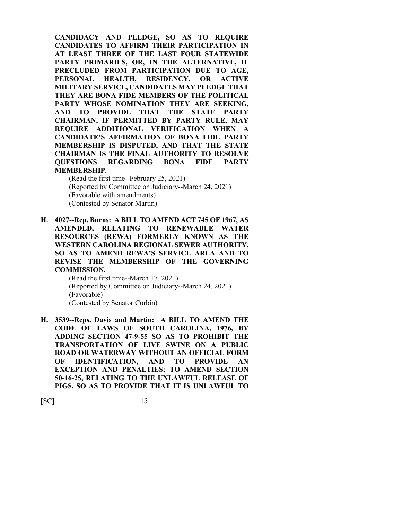**CANDIDACY AND PLEDGE, SO AS TO REQUIRE CANDIDATES TO AFFIRM THEIR PARTICIPATION IN AT LEAST THREE OF THE LAST FOUR STATEWIDE PARTY PRIMARIES, OR, IN THE ALTERNATIVE, IF PRECLUDED FROM PARTICIPATION DUE TO AGE, PERSONAL HEALTH, RESIDENCY, OR ACTIVE MILITARY SERVICE, CANDIDATES MAY PLEDGE THAT THEY ARE BONA FIDE MEMBERS OF THE POLITICAL PARTY WHOSE NOMINATION THEY ARE SEEKING, AND TO PROVIDE THAT THE STATE PARTY CHAIRMAN, IF PERMITTED BY PARTY RULE, MAY REQUIRE ADDITIONAL VERIFICATION WHEN A CANDIDATE'S AFFIRMATION OF BONA FIDE PARTY MEMBERSHIP IS DISPUTED, AND THAT THE STATE CHAIRMAN IS THE FINAL AUTHORITY TO RESOLVE QUESTIONS REGARDING BONA FIDE PARTY MEMBERSHIP.**

(Read the first time--February 25, 2021) (Reported by Committee on Judiciary--March 24, 2021) (Favorable with amendments) (Contested by Senator Martin)

**H. 4027--Rep. Burns: A BILL TO AMEND ACT 745 OF 1967, AS AMENDED, RELATING TO RENEWABLE WATER RESOURCES (REWA) FORMERLY KNOWN AS THE WESTERN CAROLINA REGIONAL SEWER AUTHORITY, SO AS TO AMEND REWA'S SERVICE AREA AND TO REVISE THE MEMBERSHIP OF THE GOVERNING COMMISSION.**

> (Read the first time--March 17, 2021) (Reported by Committee on Judiciary--March 24, 2021) (Favorable) (Contested by Senator Corbin)

**H. 3539--Reps. Davis and Martin: A BILL TO AMEND THE CODE OF LAWS OF SOUTH CAROLINA, 1976, BY ADDING SECTION 47-9-55 SO AS TO PROHIBIT THE TRANSPORTATION OF LIVE SWINE ON A PUBLIC ROAD OR WATERWAY WITHOUT AN OFFICIAL FORM OF IDENTIFICATION, AND TO PROVIDE AN EXCEPTION AND PENALTIES; TO AMEND SECTION 50-16-25, RELATING TO THE UNLAWFUL RELEASE OF PIGS, SO AS TO PROVIDE THAT IT IS UNLAWFUL TO**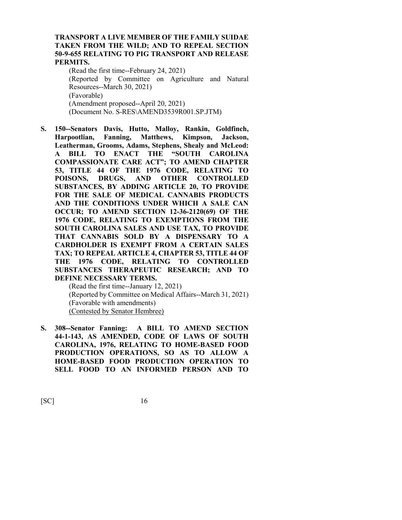#### **TRANSPORT A LIVE MEMBER OF THE FAMILY SUIDAE TAKEN FROM THE WILD; AND TO REPEAL SECTION 50-9-655 RELATING TO PIG TRANSPORT AND RELEASE PERMITS.**

(Read the first time--February 24, 2021) (Reported by Committee on Agriculture and Natural Resources--March 30, 2021) (Favorable) (Amendment proposed--April 20, 2021) (Document No. S-RES\AMEND3539R001.SP.JTM)

**S. 150--Senators Davis, Hutto, Malloy, Rankin, Goldfinch, Harpootlian, Fanning, Matthews, Kimpson, Jackson, Leatherman, Grooms, Adams, Stephens, Shealy and McLeod: A BILL TO ENACT THE "SOUTH CAROLINA COMPASSIONATE CARE ACT"; TO AMEND CHAPTER 53, TITLE 44 OF THE 1976 CODE, RELATING TO POISONS, DRUGS, AND OTHER CONTROLLED SUBSTANCES, BY ADDING ARTICLE 20, TO PROVIDE FOR THE SALE OF MEDICAL CANNABIS PRODUCTS AND THE CONDITIONS UNDER WHICH A SALE CAN OCCUR; TO AMEND SECTION 12-36-2120(69) OF THE 1976 CODE, RELATING TO EXEMPTIONS FROM THE SOUTH CAROLINA SALES AND USE TAX, TO PROVIDE THAT CANNABIS SOLD BY A DISPENSARY TO A CARDHOLDER IS EXEMPT FROM A CERTAIN SALES TAX; TO REPEAL ARTICLE 4, CHAPTER 53, TITLE 44 OF THE 1976 CODE, RELATING TO CONTROLLED SUBSTANCES THERAPEUTIC RESEARCH; AND TO DEFINE NECESSARY TERMS.**

(Read the first time--January 12, 2021) (Reported by Committee on Medical Affairs--March 31, 2021) (Favorable with amendments) (Contested by Senator Hembree)

**S. 308--Senator Fanning: A BILL TO AMEND SECTION 44-1-143, AS AMENDED, CODE OF LAWS OF SOUTH CAROLINA, 1976, RELATING TO HOME-BASED FOOD PRODUCTION OPERATIONS, SO AS TO ALLOW A HOME-BASED FOOD PRODUCTION OPERATION TO SELL FOOD TO AN INFORMED PERSON AND TO**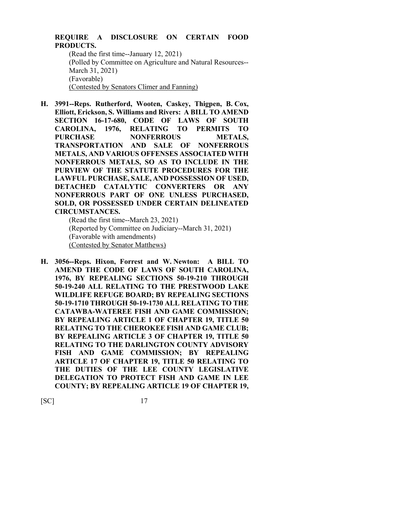# **REQUIRE A DISCLOSURE ON CERTAIN FOOD PRODUCTS.**

(Read the first time--January 12, 2021) (Polled by Committee on Agriculture and Natural Resources-- March 31, 2021) (Favorable) (Contested by Senators Climer and Fanning)

**H. 3991--Reps. Rutherford, Wooten, Caskey, Thigpen, B. Cox, Elliott, Erickson, S. Williams and Rivers: A BILL TO AMEND SECTION 16-17-680, CODE OF LAWS OF SOUTH CAROLINA, 1976, RELATING TO PERMITS TO**  PURCHASE NONFERROUS METALS, **TRANSPORTATION AND SALE OF NONFERROUS METALS, AND VARIOUS OFFENSES ASSOCIATED WITH NONFERROUS METALS, SO AS TO INCLUDE IN THE PURVIEW OF THE STATUTE PROCEDURES FOR THE LAWFUL PURCHASE, SALE, AND POSSESSION OF USED, DETACHED CATALYTIC CONVERTERS OR ANY NONFERROUS PART OF ONE UNLESS PURCHASED, SOLD, OR POSSESSED UNDER CERTAIN DELINEATED CIRCUMSTANCES.**

(Read the first time--March 23, 2021) (Reported by Committee on Judiciary--March 31, 2021) (Favorable with amendments) (Contested by Senator Matthews)

**H. 3056--Reps. Hixon, Forrest and W. Newton: A BILL TO AMEND THE CODE OF LAWS OF SOUTH CAROLINA, 1976, BY REPEALING SECTIONS 50-19-210 THROUGH 50-19-240 ALL RELATING TO THE PRESTWOOD LAKE WILDLIFE REFUGE BOARD; BY REPEALING SECTIONS 50-19-1710 THROUGH 50-19-1730 ALL RELATING TO THE CATAWBA-WATEREE FISH AND GAME COMMISSION; BY REPEALING ARTICLE 1 OF CHAPTER 19, TITLE 50 RELATING TO THE CHEROKEE FISH AND GAME CLUB; BY REPEALING ARTICLE 3 OF CHAPTER 19, TITLE 50 RELATING TO THE DARLINGTON COUNTY ADVISORY FISH AND GAME COMMISSION; BY REPEALING ARTICLE 17 OF CHAPTER 19, TITLE 50 RELATING TO THE DUTIES OF THE LEE COUNTY LEGISLATIVE DELEGATION TO PROTECT FISH AND GAME IN LEE COUNTY; BY REPEALING ARTICLE 19 OF CHAPTER 19,**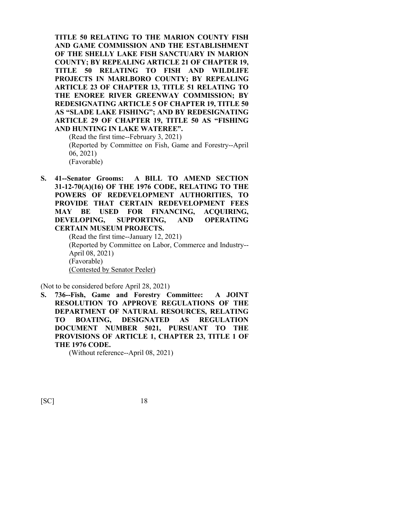**TITLE 50 RELATING TO THE MARION COUNTY FISH AND GAME COMMISSION AND THE ESTABLISHMENT OF THE SHELLY LAKE FISH SANCTUARY IN MARION COUNTY; BY REPEALING ARTICLE 21 OF CHAPTER 19, TITLE 50 RELATING TO FISH AND WILDLIFE PROJECTS IN MARLBORO COUNTY; BY REPEALING ARTICLE 23 OF CHAPTER 13, TITLE 51 RELATING TO THE ENOREE RIVER GREENWAY COMMISSION; BY REDESIGNATING ARTICLE 5 OF CHAPTER 19, TITLE 50 AS "SLADE LAKE FISHING"; AND BY REDESIGNATING ARTICLE 29 OF CHAPTER 19, TITLE 50 AS "FISHING AND HUNTING IN LAKE WATEREE".**

(Read the first time--February 3, 2021) (Reported by Committee on Fish, Game and Forestry--April 06, 2021) (Favorable)

**S. 41--Senator Grooms: A BILL TO AMEND SECTION 31-12-70(A)(16) OF THE 1976 CODE, RELATING TO THE POWERS OF REDEVELOPMENT AUTHORITIES, TO PROVIDE THAT CERTAIN REDEVELOPMENT FEES MAY BE USED FOR FINANCING, ACQUIRING, DEVELOPING, SUPPORTING, AND OPERATING CERTAIN MUSEUM PROJECTS.**

(Read the first time--January 12, 2021) (Reported by Committee on Labor, Commerce and Industry-- April 08, 2021) (Favorable) (Contested by Senator Peeler)

(Not to be considered before April 28, 2021)

**S. 736--Fish, Game and Forestry Committee: A JOINT RESOLUTION TO APPROVE REGULATIONS OF THE DEPARTMENT OF NATURAL RESOURCES, RELATING TO BOATING, DESIGNATED AS REGULATION DOCUMENT NUMBER 5021, PURSUANT TO THE PROVISIONS OF ARTICLE 1, CHAPTER 23, TITLE 1 OF THE 1976 CODE.**

(Without reference--April 08, 2021)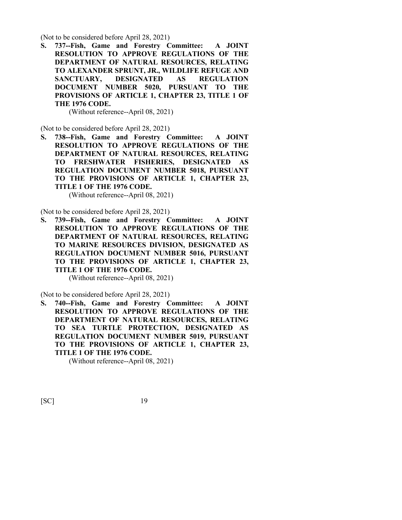(Not to be considered before April 28, 2021)

**S. 737--Fish, Game and Forestry Committee: A JOINT RESOLUTION TO APPROVE REGULATIONS OF THE DEPARTMENT OF NATURAL RESOURCES, RELATING TO ALEXANDER SPRUNT, JR., WILDLIFE REFUGE AND SANCTUARY, DESIGNATED AS REGULATION DOCUMENT NUMBER 5020, PURSUANT TO THE PROVISIONS OF ARTICLE 1, CHAPTER 23, TITLE 1 OF THE 1976 CODE.**

(Without reference--April 08, 2021)

(Not to be considered before April 28, 2021)

**S. 738--Fish, Game and Forestry Committee: A JOINT RESOLUTION TO APPROVE REGULATIONS OF THE DEPARTMENT OF NATURAL RESOURCES, RELATING TO FRESHWATER FISHERIES, DESIGNATED AS REGULATION DOCUMENT NUMBER 5018, PURSUANT TO THE PROVISIONS OF ARTICLE 1, CHAPTER 23, TITLE 1 OF THE 1976 CODE.**

(Without reference--April 08, 2021)

(Not to be considered before April 28, 2021)

**S. 739--Fish, Game and Forestry Committee: A JOINT RESOLUTION TO APPROVE REGULATIONS OF THE DEPARTMENT OF NATURAL RESOURCES, RELATING TO MARINE RESOURCES DIVISION, DESIGNATED AS REGULATION DOCUMENT NUMBER 5016, PURSUANT TO THE PROVISIONS OF ARTICLE 1, CHAPTER 23, TITLE 1 OF THE 1976 CODE.**

(Without reference--April 08, 2021)

(Not to be considered before April 28, 2021)

**S. 740--Fish, Game and Forestry Committee: A JOINT RESOLUTION TO APPROVE REGULATIONS OF THE DEPARTMENT OF NATURAL RESOURCES, RELATING TO SEA TURTLE PROTECTION, DESIGNATED AS REGULATION DOCUMENT NUMBER 5019, PURSUANT TO THE PROVISIONS OF ARTICLE 1, CHAPTER 23, TITLE 1 OF THE 1976 CODE.**

(Without reference--April 08, 2021)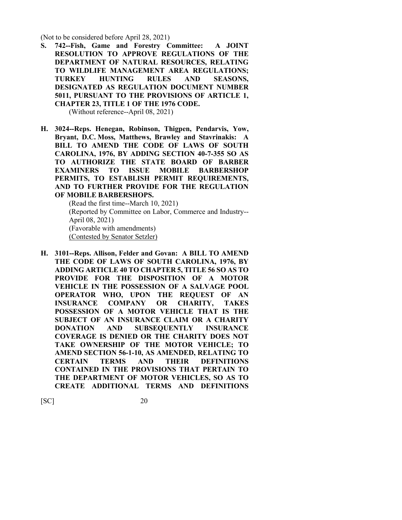(Not to be considered before April 28, 2021)

**S. 742--Fish, Game and Forestry Committee: A JOINT RESOLUTION TO APPROVE REGULATIONS OF THE DEPARTMENT OF NATURAL RESOURCES, RELATING TO WILDLIFE MANAGEMENT AREA REGULATIONS; TURKEY HUNTING RULES AND SEASONS, DESIGNATED AS REGULATION DOCUMENT NUMBER 5011, PURSUANT TO THE PROVISIONS OF ARTICLE 1, CHAPTER 23, TITLE 1 OF THE 1976 CODE.**

(Without reference--April 08, 2021)

**H. 3024--Reps. Henegan, Robinson, Thigpen, Pendarvis, Yow, Bryant, D.C. Moss, Matthews, Brawley and Stavrinakis: A BILL TO AMEND THE CODE OF LAWS OF SOUTH CAROLINA, 1976, BY ADDING SECTION 40-7-355 SO AS TO AUTHORIZE THE STATE BOARD OF BARBER EXAMINERS TO ISSUE MOBILE BARBERSHOP PERMITS, TO ESTABLISH PERMIT REQUIREMENTS, AND TO FURTHER PROVIDE FOR THE REGULATION OF MOBILE BARBERSHOPS.**

> (Read the first time--March 10, 2021) (Reported by Committee on Labor, Commerce and Industry-- April 08, 2021) (Favorable with amendments) (Contested by Senator Setzler)

**H. 3101--Reps. Allison, Felder and Govan: A BILL TO AMEND THE CODE OF LAWS OF SOUTH CAROLINA, 1976, BY ADDING ARTICLE 40 TO CHAPTER 5, TITLE 56 SO AS TO PROVIDE FOR THE DISPOSITION OF A MOTOR VEHICLE IN THE POSSESSION OF A SALVAGE POOL OPERATOR WHO, UPON THE REQUEST OF AN INSURANCE COMPANY OR CHARITY, TAKES POSSESSION OF A MOTOR VEHICLE THAT IS THE SUBJECT OF AN INSURANCE CLAIM OR A CHARITY DONATION AND SUBSEQUENTLY INSURANCE COVERAGE IS DENIED OR THE CHARITY DOES NOT TAKE OWNERSHIP OF THE MOTOR VEHICLE; TO AMEND SECTION 56-1-10, AS AMENDED, RELATING TO CERTAIN TERMS AND THEIR DEFINITIONS CONTAINED IN THE PROVISIONS THAT PERTAIN TO THE DEPARTMENT OF MOTOR VEHICLES, SO AS TO CREATE ADDITIONAL TERMS AND DEFINITIONS**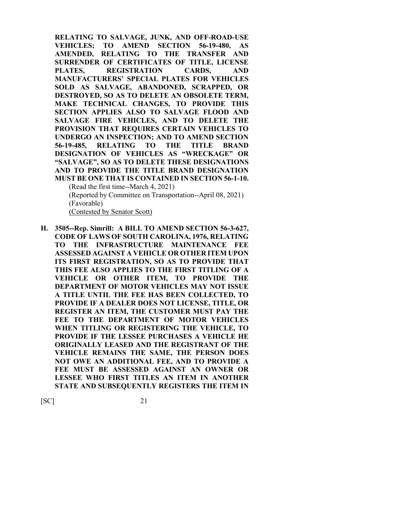**RELATING TO SALVAGE, JUNK, AND OFF-ROAD-USE VEHICLES; TO AMEND SECTION 56-19-480, AS AMENDED, RELATING TO THE TRANSFER AND SURRENDER OF CERTIFICATES OF TITLE, LICENSE PLATES, REGISTRATION CARDS, AND MANUFACTURERS' SPECIAL PLATES FOR VEHICLES SOLD AS SALVAGE, ABANDONED, SCRAPPED, OR DESTROYED, SO AS TO DELETE AN OBSOLETE TERM, MAKE TECHNICAL CHANGES, TO PROVIDE THIS SECTION APPLIES ALSO TO SALVAGE FLOOD AND SALVAGE FIRE VEHICLES, AND TO DELETE THE PROVISION THAT REQUIRES CERTAIN VEHICLES TO UNDERGO AN INSPECTION; AND TO AMEND SECTION 56-19-485, RELATING TO THE TITLE BRAND DESIGNATION OF VEHICLES AS "WRECKAGE" OR "SALVAGE", SO AS TO DELETE THESE DESIGNATIONS AND TO PROVIDE THE TITLE BRAND DESIGNATION MUST BE ONE THAT IS CONTAINED IN SECTION 56-1-10.** (Read the first time--March 4, 2021)

(Reported by Committee on Transportation--April 08, 2021) (Favorable)

(Contested by Senator Scott)

**H. 3505--Rep. Simrill: A BILL TO AMEND SECTION 56-3-627, CODE OF LAWS OF SOUTH CAROLINA, 1976, RELATING TO THE INFRASTRUCTURE MAINTENANCE FEE ASSESSED AGAINST A VEHICLE OR OTHER ITEM UPON ITS FIRST REGISTRATION, SO AS TO PROVIDE THAT THIS FEE ALSO APPLIES TO THE FIRST TITLING OF A VEHICLE OR OTHER ITEM, TO PROVIDE THE DEPARTMENT OF MOTOR VEHICLES MAY NOT ISSUE A TITLE UNTIL THE FEE HAS BEEN COLLECTED, TO PROVIDE IF A DEALER DOES NOT LICENSE, TITLE, OR REGISTER AN ITEM, THE CUSTOMER MUST PAY THE FEE TO THE DEPARTMENT OF MOTOR VEHICLES WHEN TITLING OR REGISTERING THE VEHICLE, TO PROVIDE IF THE LESSEE PURCHASES A VEHICLE HE ORIGINALLY LEASED AND THE REGISTRANT OF THE VEHICLE REMAINS THE SAME, THE PERSON DOES NOT OWE AN ADDITIONAL FEE, AND TO PROVIDE A FEE MUST BE ASSESSED AGAINST AN OWNER OR LESSEE WHO FIRST TITLES AN ITEM IN ANOTHER STATE AND SUBSEQUENTLY REGISTERS THE ITEM IN**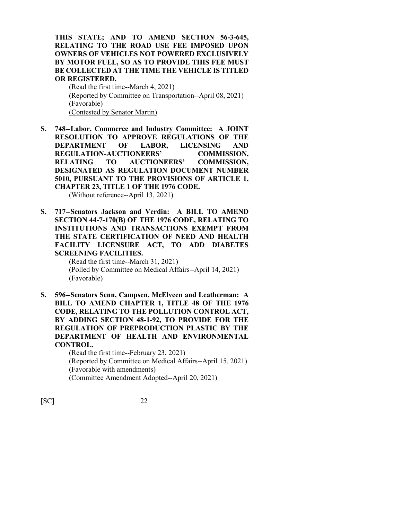**THIS STATE; AND TO AMEND SECTION 56-3-645, RELATING TO THE ROAD USE FEE IMPOSED UPON OWNERS OF VEHICLES NOT POWERED EXCLUSIVELY BY MOTOR FUEL, SO AS TO PROVIDE THIS FEE MUST BE COLLECTED AT THE TIME THE VEHICLE IS TITLED OR REGISTERED.**

(Read the first time--March 4, 2021) (Reported by Committee on Transportation--April 08, 2021) (Favorable) (Contested by Senator Martin)

**S. 748--Labor, Commerce and Industry Committee: A JOINT RESOLUTION TO APPROVE REGULATIONS OF THE DEPARTMENT OF LABOR, LICENSING AND REGULATION-AUCTIONEERS' COMMISSION, RELATING TO AUCTIONEERS' COMMISSION, DESIGNATED AS REGULATION DOCUMENT NUMBER 5010, PURSUANT TO THE PROVISIONS OF ARTICLE 1, CHAPTER 23, TITLE 1 OF THE 1976 CODE.**

(Without reference--April 13, 2021)

**S. 717--Senators Jackson and Verdin: A BILL TO AMEND SECTION 44-7-170(B) OF THE 1976 CODE, RELATING TO INSTITUTIONS AND TRANSACTIONS EXEMPT FROM THE STATE CERTIFICATION OF NEED AND HEALTH FACILITY LICENSURE ACT, TO ADD DIABETES SCREENING FACILITIES.**

> (Read the first time--March 31, 2021) (Polled by Committee on Medical Affairs--April 14, 2021) (Favorable)

**S. 596--Senators Senn, Campsen, McElveen and Leatherman: A BILL TO AMEND CHAPTER 1, TITLE 48 OF THE 1976 CODE, RELATING TO THE POLLUTION CONTROL ACT, BY ADDING SECTION 48-1-92, TO PROVIDE FOR THE REGULATION OF PREPRODUCTION PLASTIC BY THE DEPARTMENT OF HEALTH AND ENVIRONMENTAL CONTROL.**

(Read the first time--February 23, 2021) (Reported by Committee on Medical Affairs--April 15, 2021) (Favorable with amendments) (Committee Amendment Adopted--April 20, 2021)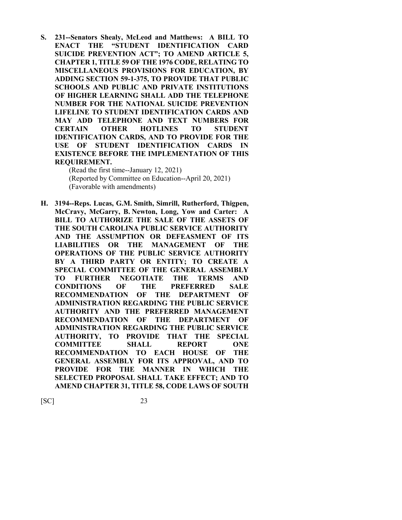**S. 231--Senators Shealy, McLeod and Matthews: A BILL TO ENACT THE "STUDENT IDENTIFICATION CARD SUICIDE PREVENTION ACT"; TO AMEND ARTICLE 5, CHAPTER 1, TITLE 59 OF THE 1976 CODE, RELATING TO MISCELLANEOUS PROVISIONS FOR EDUCATION, BY ADDING SECTION 59-1-375, TO PROVIDE THAT PUBLIC SCHOOLS AND PUBLIC AND PRIVATE INSTITUTIONS OF HIGHER LEARNING SHALL ADD THE TELEPHONE NUMBER FOR THE NATIONAL SUICIDE PREVENTION LIFELINE TO STUDENT IDENTIFICATION CARDS AND MAY ADD TELEPHONE AND TEXT NUMBERS FOR CERTAIN OTHER HOTLINES TO STUDENT IDENTIFICATION CARDS, AND TO PROVIDE FOR THE USE OF STUDENT IDENTIFICATION CARDS IN EXISTENCE BEFORE THE IMPLEMENTATION OF THIS REQUIREMENT.**

> (Read the first time--January 12, 2021) (Reported by Committee on Education--April 20, 2021) (Favorable with amendments)

**H. 3194--Reps. Lucas, G.M. Smith, Simrill, Rutherford, Thigpen, McCravy, McGarry, B. Newton, Long, Yow and Carter: A BILL TO AUTHORIZE THE SALE OF THE ASSETS OF THE SOUTH CAROLINA PUBLIC SERVICE AUTHORITY AND THE ASSUMPTION OR DEFEASMENT OF ITS LIABILITIES OR THE MANAGEMENT OF THE OPERATIONS OF THE PUBLIC SERVICE AUTHORITY BY A THIRD PARTY OR ENTITY; TO CREATE A SPECIAL COMMITTEE OF THE GENERAL ASSEMBLY TO FURTHER NEGOTIATE THE TERMS AND CONDITIONS OF THE PREFERRED SALE RECOMMENDATION OF THE DEPARTMENT OF ADMINISTRATION REGARDING THE PUBLIC SERVICE AUTHORITY AND THE PREFERRED MANAGEMENT RECOMMENDATION OF THE DEPARTMENT OF ADMINISTRATION REGARDING THE PUBLIC SERVICE AUTHORITY, TO PROVIDE THAT THE SPECIAL COMMITTEE SHALL REPORT ONE RECOMMENDATION TO EACH HOUSE OF THE GENERAL ASSEMBLY FOR ITS APPROVAL, AND TO PROVIDE FOR THE MANNER IN WHICH THE SELECTED PROPOSAL SHALL TAKE EFFECT; AND TO AMEND CHAPTER 31, TITLE 58, CODE LAWS OF SOUTH**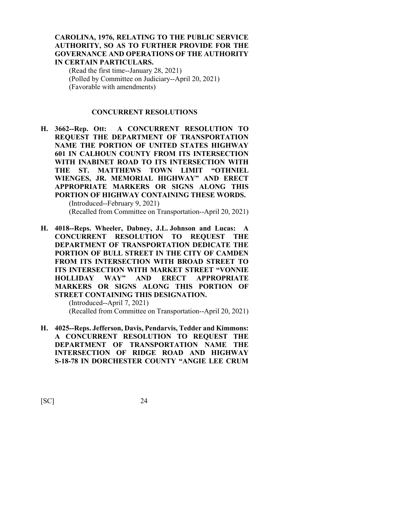#### **CAROLINA, 1976, RELATING TO THE PUBLIC SERVICE AUTHORITY, SO AS TO FURTHER PROVIDE FOR THE GOVERNANCE AND OPERATIONS OF THE AUTHORITY IN CERTAIN PARTICULARS.**

(Read the first time--January 28, 2021) (Polled by Committee on Judiciary--April 20, 2021) (Favorable with amendments)

## **CONCURRENT RESOLUTIONS**

**H. 3662--Rep. Ott: A CONCURRENT RESOLUTION TO REQUEST THE DEPARTMENT OF TRANSPORTATION NAME THE PORTION OF UNITED STATES HIGHWAY 601 IN CALHOUN COUNTY FROM ITS INTERSECTION WITH INABINET ROAD TO ITS INTERSECTION WITH THE ST. MATTHEWS TOWN LIMIT "OTHNIEL WIENGES, JR. MEMORIAL HIGHWAY" AND ERECT APPROPRIATE MARKERS OR SIGNS ALONG THIS PORTION OF HIGHWAY CONTAINING THESE WORDS.** (Introduced--February 9, 2021)

(Recalled from Committee on Transportation--April 20, 2021)

**H. 4018--Reps. Wheeler, Dabney, J.L. Johnson and Lucas: A CONCURRENT RESOLUTION TO REQUEST THE DEPARTMENT OF TRANSPORTATION DEDICATE THE PORTION OF BULL STREET IN THE CITY OF CAMDEN FROM ITS INTERSECTION WITH BROAD STREET TO ITS INTERSECTION WITH MARKET STREET "VONNIE HOLLIDAY WAY" AND ERECT APPROPRIATE MARKERS OR SIGNS ALONG THIS PORTION OF STREET CONTAINING THIS DESIGNATION.**

> (Introduced--April 7, 2021) (Recalled from Committee on Transportation--April 20, 2021)

**H. 4025--Reps. Jefferson, Davis, Pendarvis, Tedder and Kimmons: A CONCURRENT RESOLUTION TO REQUEST THE DEPARTMENT OF TRANSPORTATION NAME THE INTERSECTION OF RIDGE ROAD AND HIGHWAY S-18-78 IN DORCHESTER COUNTY "ANGIE LEE CRUM**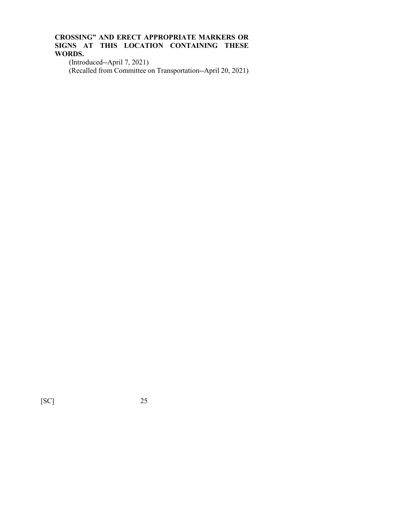## **CROSSING" AND ERECT APPROPRIATE MARKERS OR SIGNS AT THIS LOCATION CONTAINING THESE WORDS.**

(Introduced--April 7, 2021) (Recalled from Committee on Transportation--April 20, 2021)